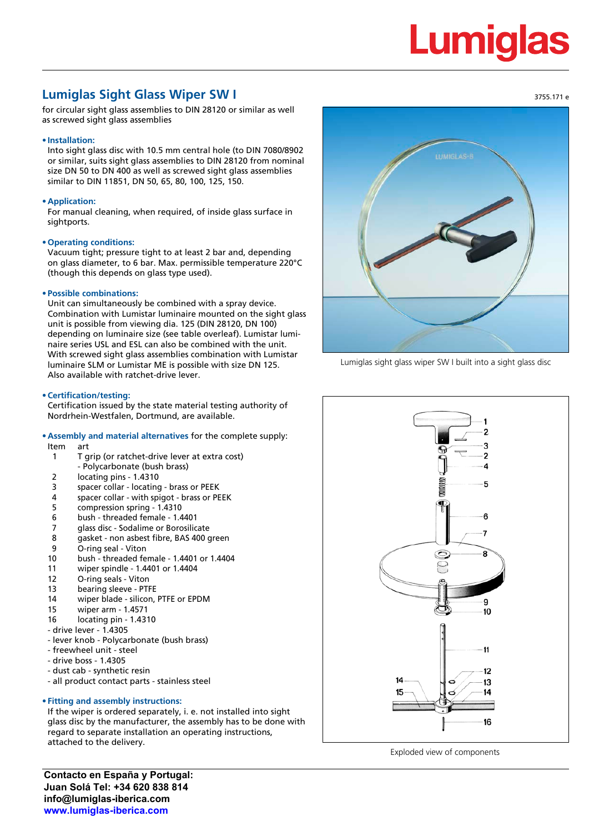# **Lumiglas**

3755.171 e

## **Lumiglas Sight Glass Wiper SW I**

for circular sight glass assemblies to DIN 28120 or similar as well as screwed sight glass assemblies

## **• Installation:**

Into sight glass disc with 10.5 mm central hole (to DIN 7080/8902 or similar, suits sight glass assemblies to DIN 28120 from nominal size DN 50 to DN 400 as well as screwed sight glass assemblies similar to DIN 11851, DN 50, 65, 80, 100, 125, 150.

## **• Application:**

For manual cleaning, when required, of inside glass surface in sightports.

## **• Operating conditions:**

Vacuum tight; pressure tight to at least 2 bar and, depending on glass diameter, to 6 bar. Max. permissible temperature 220°C (though this depends on glass type used).

## **• Possible combinations:**

Unit can simultaneously be combined with a spray device. Combination with Lumistar luminaire mounted on the sight glass unit is possible from viewing dia. 125 (DIN 28120, DN 100) depending on luminaire size (see table overleaf). Lumistar luminaire series USL and ESL can also be combined with the unit. With screwed sight glass assemblies combination with Lumistar luminaire SLM or Lumistar ME is possible with size DN 125. Also available with ratchet-drive lever.

## **• Certification/testing:**

Certification issued by the state material testing authority of Nordrhein-Westfalen, Dortmund, are available.

## **• Assembly and material alternatives** for the complete supply:

- Item art
- 1 T grip (or ratchet-drive lever at extra cost)
- Polycarbonate (bush brass)
- 2 locating pins 1.4310
- 3 spacer collar locating brass or PEEK
- 4 spacer collar with spigot brass or PEEK
- 5 compression spring 1.4310
- 6 bush threaded female 1.4401
- 7 glass disc Sodalime or Borosilicate<br>8 gasket non asbest fibre. BAS 400 g
- gasket non asbest fibre, BAS 400 green
- 9 O-ring seal Viton
- 10 bush threaded female 1.4401 or 1.4404
- 11 wiper spindle 1.4401 or 1.4404
- 12 O-ring seals Viton
- 13 bearing sleeve PTFE
- 14 wiper blade silicon, PTFE or EPDM
- 15 wiper arm 1.4571
- 16 locating pin 1.4310
- drive lever 1.4305
- lever knob Polycarbonate (bush brass)
- freewheel unit steel
- drive boss 1.4305
- dust cab synthetic resin
- all product contact parts stainless steel

## **• Fitting and assembly instructions:**

If the wiper is ordered separately, i. e. not installed into sight glass disc by the manufacturer, the assembly has to be done with regard to separate installation an operating instructions, attached to the delivery.

**Contacto en España y Portugal: Juan Solá Tel: +34 620 838 814 info@lumiglas-iberica.com www.lumiglas-iberica.com**



Lumiglas sight glass wiper SW I built into a sight glass disc



Exploded view of components